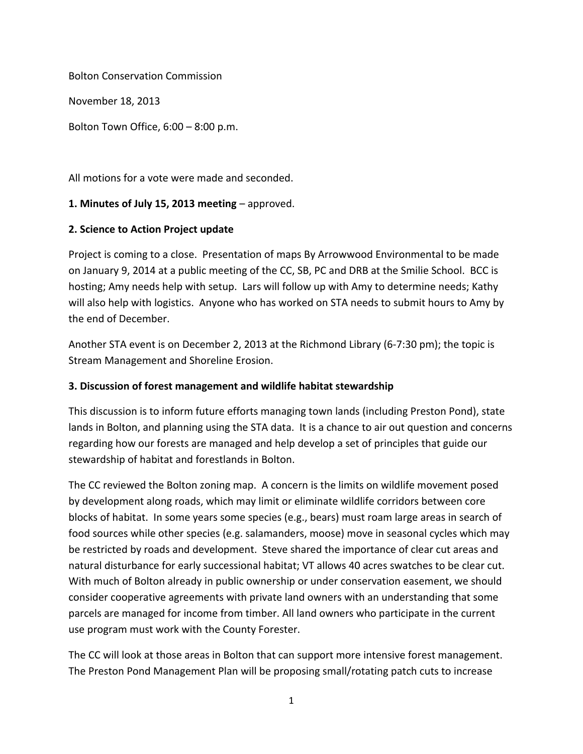Bolton Conservation Commission

November 18, 2013

Bolton Town Office, 6:00 – 8:00 p.m.

All motions for a vote were made and seconded.

#### **1. Minutes of July 15, 2013 meeting** – approved.

#### **2. Science to Action Project update**

Project is coming to a close. Presentation of maps By Arrowwood Environmental to be made on January 9, 2014 at a public meeting of the CC, SB, PC and DRB at the Smilie School. BCC is hosting; Amy needs help with setup. Lars will follow up with Amy to determine needs; Kathy will also help with logistics. Anyone who has worked on STA needs to submit hours to Amy by the end of December.

Another STA event is on December 2, 2013 at the Richmond Library (6-7:30 pm); the topic is Stream Management and Shoreline Erosion.

#### **3. Discussion of forest management and wildlife habitat stewardship**

This discussion is to inform future efforts managing town lands (including Preston Pond), state lands in Bolton, and planning using the STA data. It is a chance to air out question and concerns regarding how our forests are managed and help develop a set of principles that guide our stewardship of habitat and forestlands in Bolton.

The CC reviewed the Bolton zoning map. A concern is the limits on wildlife movement posed by development along roads, which may limit or eliminate wildlife corridors between core blocks of habitat. In some years some species (e.g., bears) must roam large areas in search of food sources while other species (e.g. salamanders, moose) move in seasonal cycles which may be restricted by roads and development. Steve shared the importance of clear cut areas and natural disturbance for early successional habitat; VT allows 40 acres swatches to be clear cut. With much of Bolton already in public ownership or under conservation easement, we should consider cooperative agreements with private land owners with an understanding that some parcels are managed for income from timber. All land owners who participate in the current use program must work with the County Forester.

The CC will look at those areas in Bolton that can support more intensive forest management. The Preston Pond Management Plan will be proposing small/rotating patch cuts to increase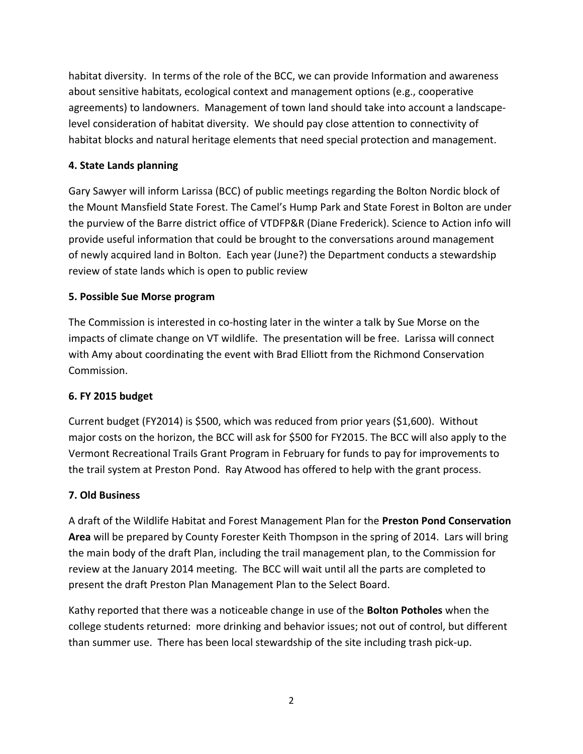habitat diversity. In terms of the role of the BCC, we can provide Information and awareness about sensitive habitats, ecological context and management options (e.g., cooperative agreements) to landowners. Management of town land should take into account a landscapelevel consideration of habitat diversity. We should pay close attention to connectivity of habitat blocks and natural heritage elements that need special protection and management.

## **4. State Lands planning**

Gary Sawyer will inform Larissa (BCC) of public meetings regarding the Bolton Nordic block of the Mount Mansfield State Forest. The Camel's Hump Park and State Forest in Bolton are under the purview of the Barre district office of VTDFP&R (Diane Frederick). Science to Action info will provide useful information that could be brought to the conversations around management of newly acquired land in Bolton. Each year (June?) the Department conducts a stewardship review of state lands which is open to public review

## **5. Possible Sue Morse program**

The Commission is interested in co-hosting later in the winter a talk by Sue Morse on the impacts of climate change on VT wildlife. The presentation will be free. Larissa will connect with Amy about coordinating the event with Brad Elliott from the Richmond Conservation Commission.

## **6. FY 2015 budget**

Current budget (FY2014) is \$500, which was reduced from prior years (\$1,600). Without major costs on the horizon, the BCC will ask for \$500 for FY2015. The BCC will also apply to the Vermont Recreational Trails Grant Program in February for funds to pay for improvements to the trail system at Preston Pond. Ray Atwood has offered to help with the grant process.

## **7. Old Business**

A draft of the Wildlife Habitat and Forest Management Plan for the **Preston Pond Conservation Area** will be prepared by County Forester Keith Thompson in the spring of 2014. Lars will bring the main body of the draft Plan, including the trail management plan, to the Commission for review at the January 2014 meeting. The BCC will wait until all the parts are completed to present the draft Preston Plan Management Plan to the Select Board.

Kathy reported that there was a noticeable change in use of the **Bolton Potholes** when the college students returned: more drinking and behavior issues; not out of control, but different than summer use. There has been local stewardship of the site including trash pick-up.